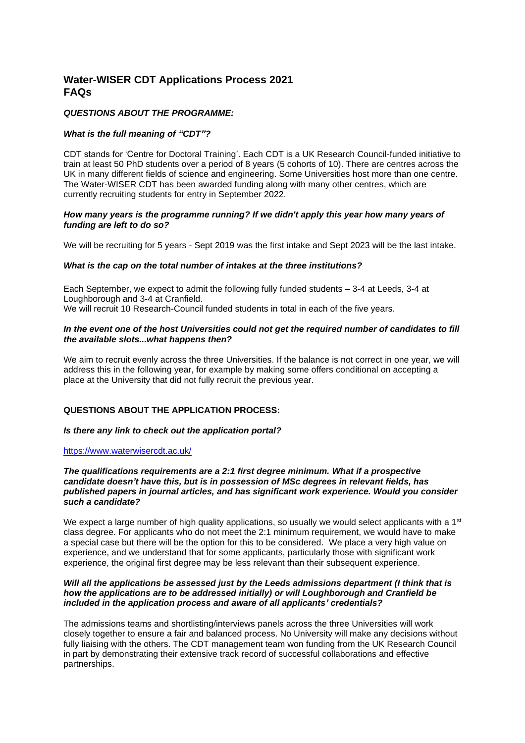# **Water-WISER CDT Applications Process 2021 FAQs**

### *QUESTIONS ABOUT THE PROGRAMME:*

### *What is the full meaning of "CDT"?*

CDT stands for 'Centre for Doctoral Training'. Each CDT is a UK Research Council-funded initiative to train at least 50 PhD students over a period of 8 years (5 cohorts of 10). There are centres across the UK in many different fields of science and engineering. Some Universities host more than one centre. The Water-WISER CDT has been awarded funding along with many other centres, which are currently recruiting students for entry in September 2022.

### *How many years is the programme running? If we didn't apply this year how many years of funding are left to do so?*

We will be recruiting for 5 years - Sept 2019 was the first intake and Sept 2023 will be the last intake.

### *What is the cap on the total number of intakes at the three institutions?*

Each September, we expect to admit the following fully funded students – 3-4 at Leeds, 3-4 at Loughborough and 3-4 at Cranfield. We will recruit 10 Research-Council funded students in total in each of the five years.

### *In the event one of the host Universities could not get the required number of candidates to fill the available slots...what happens then?*

We aim to recruit evenly across the three Universities. If the balance is not correct in one year, we will address this in the following year, for example by making some offers conditional on accepting a place at the University that did not fully recruit the previous year.

## **QUESTIONS ABOUT THE APPLICATION PROCESS:**

### *Is there any link to check out the application portal?*

### <https://www.waterwisercdt.ac.uk/>

### *The qualifications requirements are a 2:1 first degree minimum. What if a prospective candidate doesn't have this, but is in possession of MSc degrees in relevant fields, has published papers in journal articles, and has significant work experience. Would you consider such a candidate?*

We expect a large number of high quality applications, so usually we would select applicants with a 1<sup>st</sup> class degree. For applicants who do not meet the 2:1 minimum requirement, we would have to make a special case but there will be the option for this to be considered. We place a very high value on experience, and we understand that for some applicants, particularly those with significant work experience, the original first degree may be less relevant than their subsequent experience.

### *Will all the applications be assessed just by the Leeds admissions department (I think that is how the applications are to be addressed initially) or will Loughborough and Cranfield be included in the application process and aware of all applicants' credentials?*

The admissions teams and shortlisting/interviews panels across the three Universities will work closely together to ensure a fair and balanced process. No University will make any decisions without fully liaising with the others. The CDT management team won funding from the UK Research Council in part by demonstrating their extensive track record of successful collaborations and effective partnerships.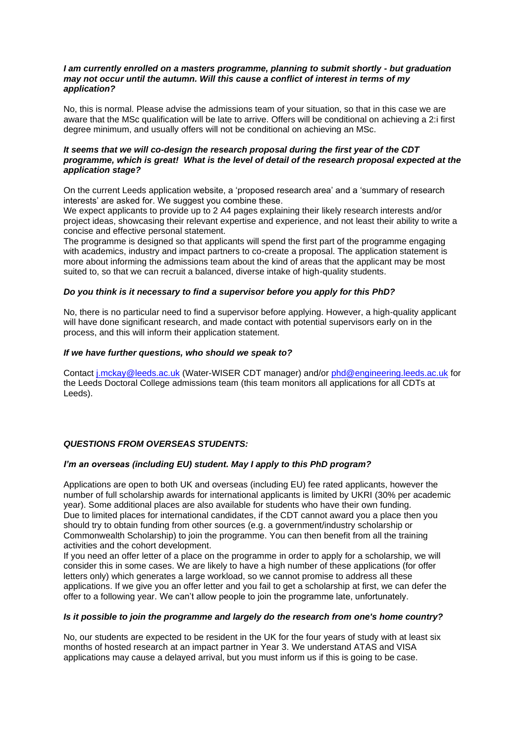#### *I am currently enrolled on a masters programme, planning to submit shortly - but graduation may not occur until the autumn. Will this cause a conflict of interest in terms of my application?*

No, this is normal. Please advise the admissions team of your situation, so that in this case we are aware that the MSc qualification will be late to arrive. Offers will be conditional on achieving a 2:i first degree minimum, and usually offers will not be conditional on achieving an MSc.

### *It seems that we will co-design the research proposal during the first year of the CDT programme, which is great! What is the level of detail of the research proposal expected at the application stage?*

On the current Leeds application website, a 'proposed research area' and a 'summary of research interests' are asked for. We suggest you combine these.

We expect applicants to provide up to 2 A4 pages explaining their likely research interests and/or project ideas, showcasing their relevant expertise and experience, and not least their ability to write a concise and effective personal statement.

The programme is designed so that applicants will spend the first part of the programme engaging with academics, industry and impact partners to co-create a proposal. The application statement is more about informing the admissions team about the kind of areas that the applicant may be most suited to, so that we can recruit a balanced, diverse intake of high-quality students.

### *Do you think is it necessary to find a supervisor before you apply for this PhD?*

No, there is no particular need to find a supervisor before applying. However, a high-quality applicant will have done significant research, and made contact with potential supervisors early on in the process, and this will inform their application statement.

### *If we have further questions, who should we speak to?*

Contact [j.mckay@leeds.ac.uk](mailto:j.mckay@leeds.ac.uk) (Water-WISER CDT manager) and/or [phd@engineering.leeds.ac.uk](mailto:phd@engineering.leeds.ac.uk) for the Leeds Doctoral College admissions team (this team monitors all applications for all CDTs at Leeds).

### *QUESTIONS FROM OVERSEAS STUDENTS:*

### *I'm an overseas (including EU) student. May I apply to this PhD program?*

Applications are open to both UK and overseas (including EU) fee rated applicants, however the number of full scholarship awards for international applicants is limited by UKRI (30% per academic year). Some additional places are also available for students who have their own funding. Due to limited places for international candidates, if the CDT cannot award you a place then you should try to obtain funding from other sources (e.g. a government/industry scholarship or Commonwealth Scholarship) to join the programme. You can then benefit from all the training activities and the cohort development.

If you need an offer letter of a place on the programme in order to apply for a scholarship, we will consider this in some cases. We are likely to have a high number of these applications (for offer letters only) which generates a large workload, so we cannot promise to address all these applications. If we give you an offer letter and you fail to get a scholarship at first, we can defer the offer to a following year. We can't allow people to join the programme late, unfortunately.

### *Is it possible to join the programme and largely do the research from one's home country?*

No, our students are expected to be resident in the UK for the four years of study with at least six months of hosted research at an impact partner in Year 3. We understand ATAS and VISA applications may cause a delayed arrival, but you must inform us if this is going to be case.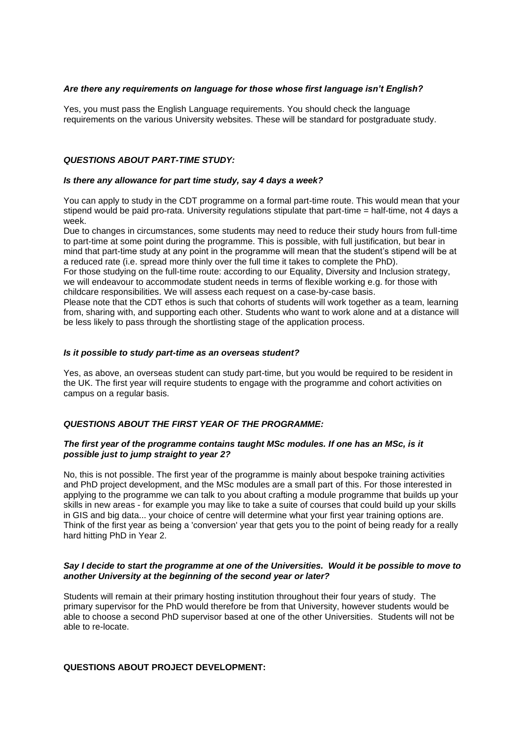### *Are there any requirements on language for those whose first language isn't English?*

Yes, you must pass the English Language requirements. You should check the language requirements on the various University websites. These will be standard for postgraduate study.

### *QUESTIONS ABOUT PART-TIME STUDY:*

#### *Is there any allowance for part time study, say 4 days a week?*

You can apply to study in the CDT programme on a formal part-time route. This would mean that your stipend would be paid pro-rata. University regulations stipulate that part-time = half-time, not 4 days a week.

Due to changes in circumstances, some students may need to reduce their study hours from full-time to part-time at some point during the programme. This is possible, with full justification, but bear in mind that part-time study at any point in the programme will mean that the student's stipend will be at a reduced rate (i.e. spread more thinly over the full time it takes to complete the PhD).

For those studying on the full-time route: according to our Equality, Diversity and Inclusion strategy, we will endeavour to accommodate student needs in terms of flexible working e.g. for those with childcare responsibilities. We will assess each request on a case-by-case basis.

Please note that the CDT ethos is such that cohorts of students will work together as a team, learning from, sharing with, and supporting each other. Students who want to work alone and at a distance will be less likely to pass through the shortlisting stage of the application process.

### *Is it possible to study part-time as an overseas student?*

Yes, as above, an overseas student can study part-time, but you would be required to be resident in the UK. The first year will require students to engage with the programme and cohort activities on campus on a regular basis.

### *QUESTIONS ABOUT THE FIRST YEAR OF THE PROGRAMME:*

### *The first year of the programme contains taught MSc modules. If one has an MSc, is it possible just to jump straight to year 2?*

No, this is not possible. The first year of the programme is mainly about bespoke training activities and PhD project development, and the MSc modules are a small part of this. For those interested in applying to the programme we can talk to you about crafting a module programme that builds up your skills in new areas - for example you may like to take a suite of courses that could build up your skills in GIS and big data... your choice of centre will determine what your first year training options are. Think of the first year as being a 'conversion' year that gets you to the point of being ready for a really hard hitting PhD in Year 2.

### *Say I decide to start the programme at one of the Universities. Would it be possible to move to another University at the beginning of the second year or later?*

Students will remain at their primary hosting institution throughout their four years of study. The primary supervisor for the PhD would therefore be from that University, however students would be able to choose a second PhD supervisor based at one of the other Universities. Students will not be able to re-locate.

### **QUESTIONS ABOUT PROJECT DEVELOPMENT:**